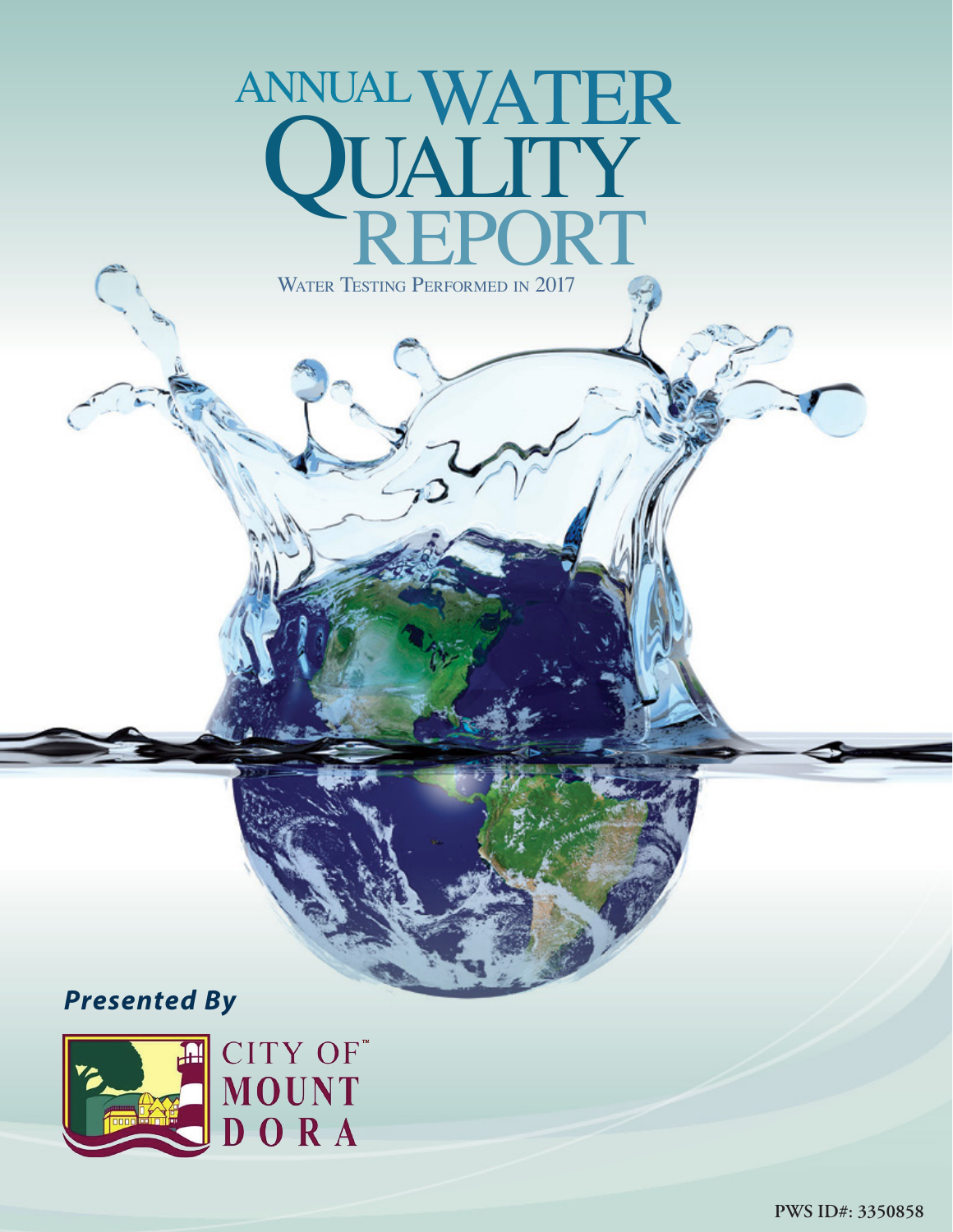



WATER TESTING PERFORMED IN 2017

**QUALITY**<br>REPORT

ANNUAL WA'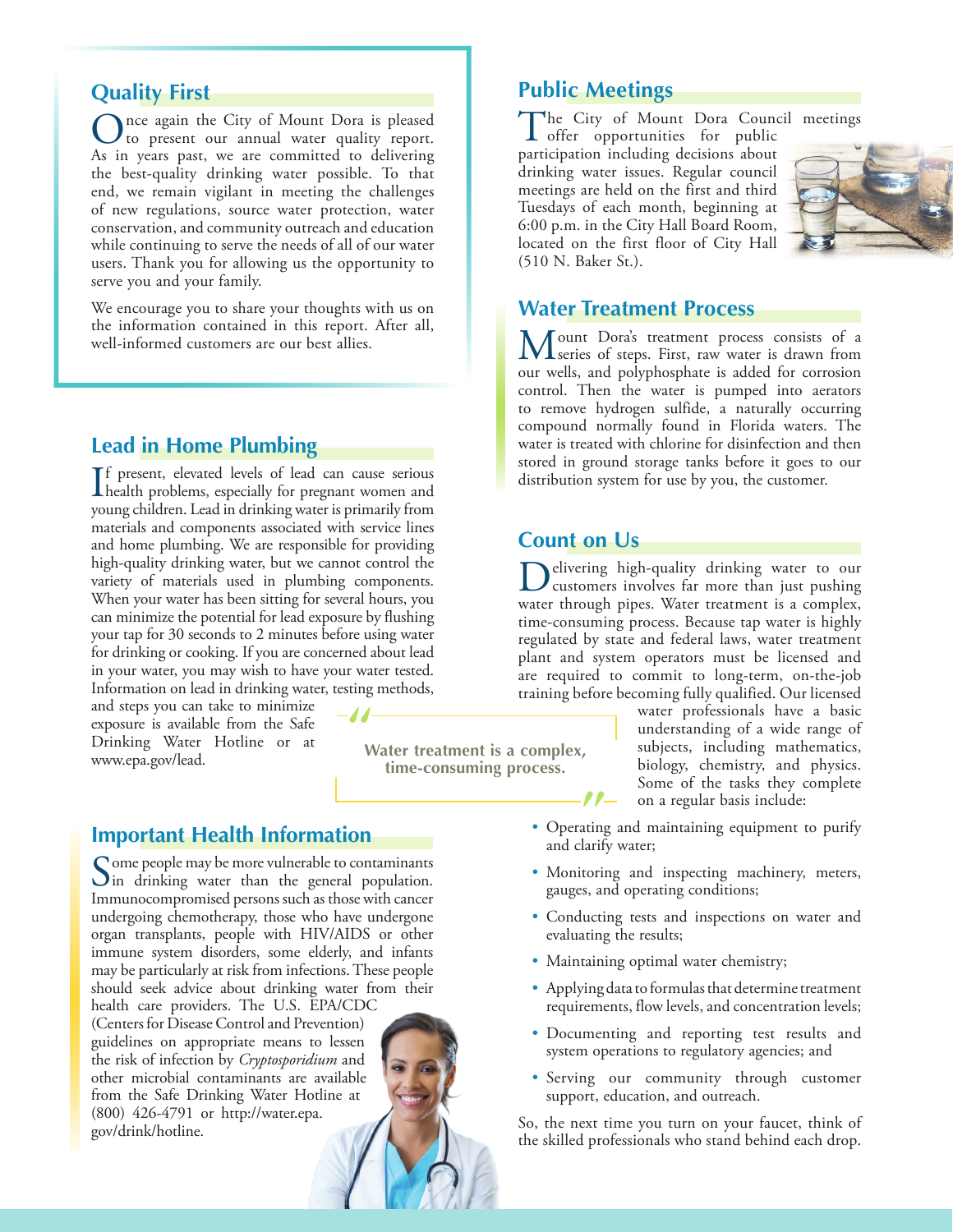# **Quality First**

nce again the City of Mount Dora is pleased to present our annual water quality report. As in years past, we are committed to delivering the best-quality drinking water possible. To that end, we remain vigilant in meeting the challenges of new regulations, source water protection, water conservation, and community outreach and education while continuing to serve the needs of all of our water users. Thank you for allowing us the opportunity to serve you and your family.

We encourage you to share your thoughts with us on the information contained in this report. After all, well-informed customers are our best allies.

### **Lead in Home Plumbing**

If present, elevated levels of lead can cause serious<br>health problems, especially for pregnant women and f present, elevated levels of lead can cause serious young children. Lead in drinking water is primarily from materials and components associated with service lines and home plumbing. We are responsible for providing high-quality drinking water, but we cannot control the variety of materials used in plumbing components. When your water has been sitting for several hours, you can minimize the potential for lead exposure by flushing your tap for 30 seconds to 2 minutes before using water for drinking or cooking. If you are concerned about lead in your water, you may wish to have your water tested. Information on lead in drinking water, testing methods,

and steps you can take to minimize exposure is available from the Safe Drinking Water Hotline or at [www.epa.gov/lead.](http://www.epa.gov/lead)

**Water treatment is a complex, time-consuming process.**

### **Important Health Information**

Some people may be more vulnerable to contaminants<br>in drinking water than the general population. Immunocompromised persons such as those with cancer undergoing chemotherapy, those who have undergone organ transplants, people with HIV/AIDS or other immune system disorders, some elderly, and infants may be particularly at risk from infections. These people should seek advice about drinking water from their

health care providers. The U.S. EPA/CDC (Centers for Disease Control and Prevention) guidelines on appropriate means to lessen the risk of infection by *Cryptosporidium* and other microbial contaminants are available from the Safe Drinking Water Hotline at (800) 426-4791 or [http://water.epa.](http://water.epa.gov/drink/hotline) [gov/drink/hotline.](http://water.epa.gov/drink/hotline)

## **Public Meetings**

The City of Mount Dora Council meetings<br>
offer opportunities for public participation including decisions about drinking water issues. Regular council meetings are held on the first and third Tuesdays of each month, beginning at 6:00 p.m. in the City Hall Board Room, located on the first floor of City Hall (510 N. Baker St.).



#### **Water Treatment Process**

Mount Dora's treatment process consists of a series of steps. First, raw water is drawn from our wells, and polyphosphate is added for corrosion control. Then the water is pumped into aerators to remove hydrogen sulfide, a naturally occurring compound normally found in Florida waters. The water is treated with chlorine for disinfection and then stored in ground storage tanks before it goes to our distribution system for use by you, the customer.

### **Count on Us**

elivering high-quality drinking water to our customers involves far more than just pushing water through pipes. Water treatment is a complex, time-consuming process. Because tap water is highly regulated by state and federal laws, water treatment plant and system operators must be licensed and are required to commit to long-term, on-the-job training before becoming fully qualified. Our licensed

> water professionals have a basic understanding of a wide range of subjects, including mathematics, biology, chemistry, and physics. Some of the tasks they complete on a regular basis include:

- Operating and maintaining equipment to purify and clarify water;
- Monitoring and inspecting machinery, meters, gauges, and operating conditions;
- Conducting tests and inspections on water and evaluating the results;
- Maintaining optimal water chemistry;
- Applying data to formulas that determine treatment requirements, flow levels, and concentration levels;
- Documenting and reporting test results and system operations to regulatory agencies; and
- Serving our community through customer support, education, and outreach.

So, the next time you turn on your faucet, think of the skilled professionals who stand behind each drop.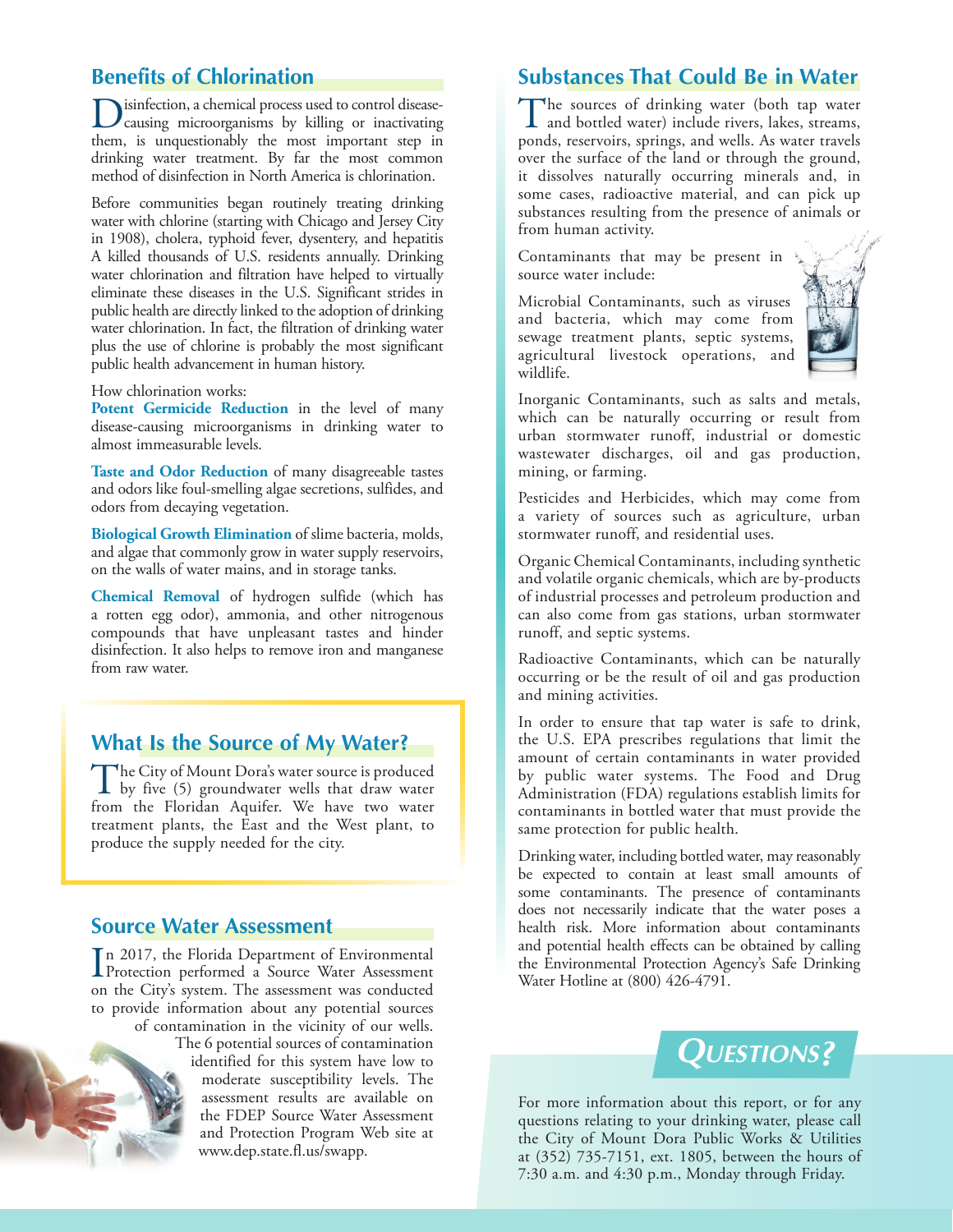## **Benefits of Chlorination**

 $\sum_{\text{causing microorganisms by killing or inactivating} \atop \text{the most important step} \atop \text{the most important step} \atop \text{the most important step} \atop \text{the most important step} \atop \text{the most important step} \atop \text{the most important step} \atop \text{the most important step} \atop \text{the most important step} \atop \text{the most important step} \atop \text{the most important step} \atop \text{the most important step} \atop \text{the most important step} \atop \text{the most important step} \atop \text{the most important step} \atop \text{the most important step} \atop \text{the most important step} \atop \text{the most important step} \atop \text{the most important step} \atop \text{$ them, is unquestionably the most important step in drinking water treatment. By far the most common method of disinfection in North America is chlorination.

Before communities began routinely treating drinking water with chlorine (starting with Chicago and Jersey City in 1908), cholera, typhoid fever, dysentery, and hepatitis A killed thousands of U.S. residents annually. Drinking water chlorination and filtration have helped to virtually eliminate these diseases in the U.S. Significant strides in public health are directly linked to the adoption of drinking water chlorination. In fact, the filtration of drinking water plus the use of chlorine is probably the most significant public health advancement in human history.

How chlorination works:

Potent Germicide Reduction in the level of many disease-causing microorganisms in drinking water to almost immeasurable levels.

**Taste and Odor Reduction** of many disagreeable tastes and odors like foul-smelling algae secretions, sulfides, and odors from decaying vegetation.

**Biological Growth Elimination** of slime bacteria, molds, and algae that commonly grow in water supply reservoirs, on the walls of water mains, and in storage tanks.

**Chemical Removal** of hydrogen sulfide (which has a rotten egg odor), ammonia, and other nitrogenous compounds that have unpleasant tastes and hinder disinfection. It also helps to remove iron and manganese from raw water.

### **What Is the Source of My Water?**

The City of Mount Dora's water source is produced<br>by five (5) groundwater wells that draw water<br>from the Flasidan Asuifan We have must must from the Floridan Aquifer. We have two water treatment plants, the East and the West plant, to produce the supply needed for the city.

### **Source Water Assessment**

In 2017, the Florida Department of Environmental<br>Protection performed a Source Water Assessment n 2017, the Florida Department of Environmental on the City's system. The assessment was conducted to provide information about any potential sources of contamination in the vicinity of our wells.

The 6 potential sources of contamination identified for this system have low to moderate susceptibility levels. The assessment results are available on the FDEP Source Water Assessment and Protection Program Web site at [www.dep.state.fl.us/swapp.](http://www.dep.state.fl.us/swapp)

### **Substances That Could Be in Water**

The sources of drinking water (both tap water<br>and bottled water) include rivers, lakes, streams, ponds, reservoirs, springs, and wells. As water travels over the surface of the land or through the ground, it dissolves naturally occurring minerals and, in some cases, radioactive material, and can pick up substances resulting from the presence of animals or from human activity.

Contaminants that may be present in source water include:

Microbial Contaminants, such as viruses and bacteria, which may come from sewage treatment plants, septic systems, agricultural livestock operations, and wildlife.



Inorganic Contaminants, such as salts and metals, which can be naturally occurring or result from urban stormwater runoff, industrial or domestic wastewater discharges, oil and gas production, mining, or farming.

Pesticides and Herbicides, which may come from a variety of sources such as agriculture, urban stormwater runoff, and residential uses.

Organic Chemical Contaminants, including synthetic and volatile organic chemicals, which are by-products of industrial processes and petroleum production and can also come from gas stations, urban stormwater runoff, and septic systems.

Radioactive Contaminants, which can be naturally occurring or be the result of oil and gas production and mining activities.

In order to ensure that tap water is safe to drink, the U.S. EPA prescribes regulations that limit the amount of certain contaminants in water provided by public water systems. The Food and Drug Administration (FDA) regulations establish limits for contaminants in bottled water that must provide the same protection for public health.

Drinking water, including bottled water, may reasonably be expected to contain at least small amounts of some contaminants. The presence of contaminants does not necessarily indicate that the water poses a health risk. More information about contaminants and potential health effects can be obtained by calling the Environmental Protection Agency's Safe Drinking Water Hotline at (800) 426-4791.



For more information about this report, or for any questions relating to your drinking water, please call the City of Mount Dora Public Works & Utilities at (352) 735-7151, ext. 1805, between the hours of 7:30 a.m. and 4:30 p.m., Monday through Friday.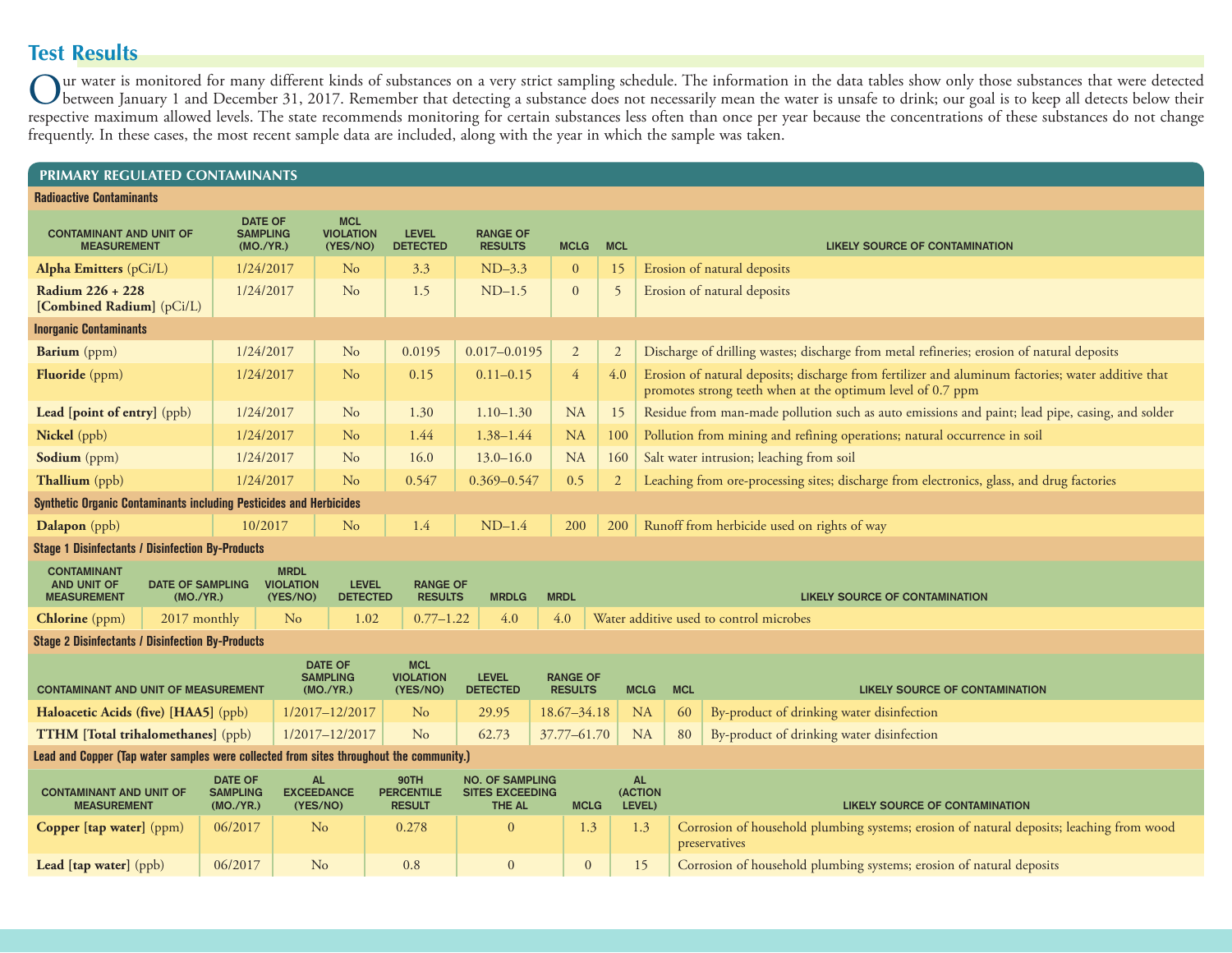## **Test Results**

Our water is monitored for many different kinds of substances on a very strict sampling schedule. The information in the data tables show only those substances that were detected<br>between January 1 and December 31, 2017. Re respective maximum allowed levels. The state recommends monitoring for certain substances less often than once per year because the concentrations of these substances do not change frequently. In these cases, the most recent sample data are included, along with the year in which the sample was taken.

| <b>PRIMARY REGULATED CONTAMINANTS</b>                                                                  |                                                |                                                                                |                                            |                                                   |                                                                   |                                   |                |                                             |                                                                                                                                                                  |                                                                           |  |
|--------------------------------------------------------------------------------------------------------|------------------------------------------------|--------------------------------------------------------------------------------|--------------------------------------------|---------------------------------------------------|-------------------------------------------------------------------|-----------------------------------|----------------|---------------------------------------------|------------------------------------------------------------------------------------------------------------------------------------------------------------------|---------------------------------------------------------------------------|--|
| <b>Radioactive Contaminants</b>                                                                        |                                                |                                                                                |                                            |                                                   |                                                                   |                                   |                |                                             |                                                                                                                                                                  |                                                                           |  |
| <b>DATE OF</b><br><b>SAMPLING</b><br><b>CONTAMINANT AND UNIT OF</b><br><b>MEASUREMENT</b><br>(MO./YR.) |                                                |                                                                                | <b>MCL</b><br><b>VIOLATION</b><br>(YES/NO) | <b>LEVEL</b><br><b>DETECTED</b>                   | <b>RANGE OF</b><br><b>RESULTS</b>                                 | <b>MCLG</b>                       | <b>MCL</b>     |                                             | <b>LIKELY SOURCE OF CONTAMINATION</b>                                                                                                                            |                                                                           |  |
| 1/24/2017<br><b>Alpha Emitters</b> (pCi/L)                                                             |                                                |                                                                                | N <sub>o</sub>                             | 3.3                                               | $ND-3.3$                                                          | $\overline{0}$                    | 15             |                                             |                                                                                                                                                                  | Erosion of natural deposits                                               |  |
| Radium 226 + 228<br>1/24/2017<br>[Combined Radium] (pCi/L)                                             |                                                |                                                                                | N <sub>o</sub>                             | 1.5                                               | $ND-1.5$                                                          | $\mathbf{0}$                      | 5              |                                             | Erosion of natural deposits                                                                                                                                      |                                                                           |  |
| <b>Inorganic Contaminants</b>                                                                          |                                                |                                                                                |                                            |                                                   |                                                                   |                                   |                |                                             |                                                                                                                                                                  |                                                                           |  |
| 1/24/2017<br>Barium (ppm)                                                                              |                                                |                                                                                | N <sub>o</sub>                             | 0.0195                                            | $0.017 - 0.0195$                                                  | 2                                 | $\overline{2}$ |                                             | Discharge of drilling wastes; discharge from metal refineries; erosion of natural deposits                                                                       |                                                                           |  |
| 1/24/2017<br>Fluoride (ppm)                                                                            |                                                |                                                                                | N <sub>o</sub>                             | 0.15                                              | $0.11 - 0.15$                                                     | 4                                 | 4.0            |                                             | Erosion of natural deposits; discharge from fertilizer and aluminum factories; water additive that<br>promotes strong teeth when at the optimum level of 0.7 ppm |                                                                           |  |
| 1/24/2017<br><b>Lead [point of entry]</b> (ppb)                                                        |                                                |                                                                                | N <sub>o</sub>                             | 1.30                                              | $1.10 - 1.30$                                                     | <b>NA</b>                         | 15             |                                             | Residue from man-made pollution such as auto emissions and paint; lead pipe, casing, and solder                                                                  |                                                                           |  |
| Nickel (ppb)<br>1/24/2017                                                                              |                                                |                                                                                | N <sub>o</sub>                             | 1.44                                              | $1.38 - 1.44$                                                     | <b>NA</b>                         | 100            |                                             |                                                                                                                                                                  | Pollution from mining and refining operations; natural occurrence in soil |  |
| 1/24/2017<br>Sodium (ppm)                                                                              |                                                |                                                                                | $\rm No$                                   | 16.0                                              | $13.0 - 16.0$                                                     | <b>NA</b>                         | 160            |                                             | Salt water intrusion; leaching from soil                                                                                                                         |                                                                           |  |
| 1/24/2017<br>Thallium (ppb)                                                                            |                                                |                                                                                | No                                         | 0.547                                             | $0.369 - 0.547$                                                   | 0.5                               | $\overline{2}$ |                                             | Leaching from ore-processing sites; discharge from electronics, glass, and drug factories                                                                        |                                                                           |  |
| Synthetic Organic Contaminants including Pesticides and Herbicides                                     |                                                |                                                                                |                                            |                                                   |                                                                   |                                   |                |                                             |                                                                                                                                                                  |                                                                           |  |
| Dalapon (ppb)                                                                                          | 10/2017                                        |                                                                                | N <sub>o</sub>                             |                                                   | $ND-1.4$                                                          | 200                               | 200            | Runoff from herbicide used on rights of way |                                                                                                                                                                  |                                                                           |  |
| <b>Stage 1 Disinfectants / Disinfection By-Products</b>                                                |                                                |                                                                                |                                            |                                                   |                                                                   |                                   |                |                                             |                                                                                                                                                                  |                                                                           |  |
| <b>CONTAMINANT</b><br><b>AND UNIT OF</b><br><b>MEASUREMENT</b>                                         | <b>DATE OF SAMPLING</b><br>(MO./YR.)           | <b>MRDL</b><br><b>VIOLATION</b><br><b>LEVEL</b><br>(YES/NO)<br><b>DETECTED</b> |                                            | <b>RANGE OF</b><br><b>RESULTS</b><br><b>MRDLG</b> |                                                                   | <b>MRDL</b>                       |                |                                             |                                                                                                                                                                  | <b>LIKELY SOURCE OF CONTAMINATION</b>                                     |  |
| <b>Chlorine</b> (ppm)                                                                                  | 2017 monthly                                   | N <sub>o</sub>                                                                 | 1.02                                       | $0.77 - 1.22$                                     | 4.0                                                               | 4.0                               |                |                                             | Water additive used to control microbes                                                                                                                          |                                                                           |  |
| <b>Stage 2 Disinfectants / Disinfection By-Products</b>                                                |                                                |                                                                                |                                            |                                                   |                                                                   |                                   |                |                                             |                                                                                                                                                                  |                                                                           |  |
| <b>CONTAMINANT AND UNIT OF MEASUREMENT</b>                                                             |                                                | <b>DATE OF</b><br><b>SAMPLING</b><br>(MO./YR.)                                 |                                            | <b>MCL</b><br><b>VIOLATION</b><br>(YES/NO)        | <b>LEVEL</b><br><b>DETECTED</b>                                   | <b>RANGE OF</b><br><b>RESULTS</b> |                | <b>MCL</b><br><b>MCLG</b>                   |                                                                                                                                                                  | <b>LIKELY SOURCE OF CONTAMINATION</b>                                     |  |
| Haloacetic Acids (five) [HAA5] (ppb)                                                                   |                                                | 1/2017-12/2017                                                                 |                                            | $\overline{N_{0}}$                                | 29.95                                                             | $18.67 - 34.18$                   |                | <b>NA</b>                                   | 60                                                                                                                                                               | By-product of drinking water disinfection                                 |  |
| <b>TTHM</b> [Total trihalomethanes] (ppb)                                                              |                                                | 1/2017-12/2017                                                                 |                                            | N <sub>o</sub>                                    | 62.73                                                             | 37.77-61.70                       |                | <b>NA</b>                                   | 80                                                                                                                                                               | By-product of drinking water disinfection                                 |  |
| Lead and Copper (Tap water samples were collected from sites throughout the community.)                |                                                |                                                                                |                                            |                                                   |                                                                   |                                   |                |                                             |                                                                                                                                                                  |                                                                           |  |
| <b>CONTAMINANT AND UNIT OF</b><br><b>MEASUREMENT</b>                                                   | <b>DATE OF</b><br><b>SAMPLING</b><br>(MO./YR.) | <b>AL</b><br><b>EXCEEDANCE</b><br>(YES/NO)                                     |                                            | 90TH<br><b>PERCENTILE</b><br><b>RESULT</b>        | <b>NO. OF SAMPLING</b><br><b>SITES EXCEEDING</b><br><b>THE AL</b> |                                   | <b>MCLG</b>    | <b>AL</b><br>(ACTION<br>LEVEL)              | LIKELY SOURCE OF CONTAMINATION                                                                                                                                   |                                                                           |  |
| Copper [tap water] (ppm)                                                                               | 06/2017                                        | N <sub>o</sub>                                                                 |                                            | 0.278                                             | $\mathbf{0}$                                                      | 1.3                               |                | 1.3                                         | Corrosion of household plumbing systems; erosion of natural deposits; leaching from wood<br>preservatives                                                        |                                                                           |  |
| Lead [tap water] (ppb)                                                                                 | 06/2017                                        | N <sub>o</sub>                                                                 |                                            | 0.8                                               | $\mathbf{0}$                                                      | $\overline{0}$                    |                | 15                                          |                                                                                                                                                                  | Corrosion of household plumbing systems; erosion of natural deposits      |  |